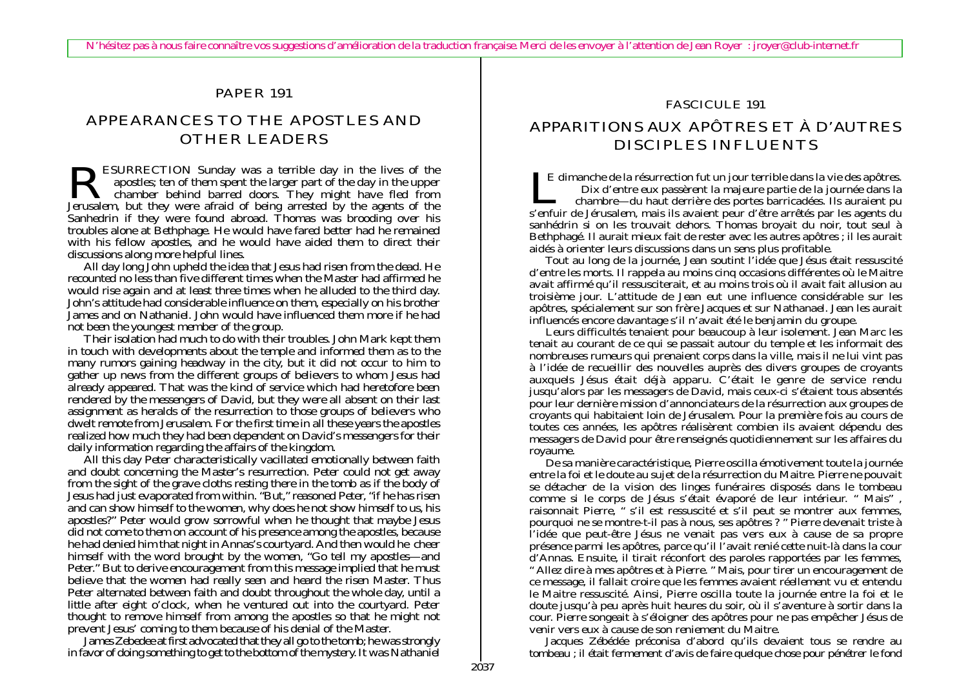N'hésitez pas à nous faire connaître vos suggestions d'amélioration de la traduction française. Merci de les envoyer à l'attention de Jean Royer : jroyer@club-internet.fr

# PAPER 191

# APPEARANCES TO THE APOSTLES AND OTHER LEADERS

RESURRECTION Sunday was a terrible day in the lives of the apostles; ten of them spent the larger part of the day in the upper chamber behind barred doors. They might have fled from Jerusalem, but they were afraid of being arrested by the agents of the Sanhedrin if they were found abroad. Thomas was brooding over his troubles alone at Bethphage. He would have fared better had he remained with his fellow apostles, and he would have aided them to direct their discussions along more helpful lines.

All day long John upheld the idea that Jesus had risen from the dead. He recounted no less than five different times when the Master had affirmed he would rise again and at least three times when he alluded to the third day. John's attitude had considerable influence on them, especially on his brother James and on Nathaniel. John would have influenced them more if he had not been the youngest member of the group.

Their isolation had much to do with their troubles. John Mark kept them in touch with developments about the temple and informed them as to the many rumors gaining headway in the city, but it did not occur to him to gather up news from the different groups of believers to whom Jesus had already appeared. That was the kind of service which had heretofore been rendered by the messengers of David, but they were all absent on their last assignment as heralds of the resurrection to those groups of believers who dwelt remote from Jerusalem. For the first time in all these years the apostles realized how much they had been dependent on David's messengers for their daily information regarding the affairs of the kingdom.

All this day Peter characteristically vacillated emotionally between faith and doubt concerning the Master's resurrection. Peter could not get away from the sight of the grave cloths resting there in the tomb as if the body of Jesus had just evaporated from within. "But," reasoned Peter, "if he has risen and can show himself to the women, why does he not show himself to us, his apostles?" Peter would grow sorrowful when he thought that maybe Jesus did not come to them on account of his presence among the apostles, because he had denied him that night in Annas's courtyard. And then would he cheer himself with the word brought by the women, "Go tell my apostles—and Peter." But to derive encouragement from this message implied that he must believe that the women had really seen and heard the risen Master. Thus Peter alternated between faith and doubt throughout the whole day, until a little after eight o'clock, when he ventured out into the courtyard. Peter thought to remove himself from among the apostles so that he might not prevent Jesus' coming to them because of his denial of the Master.

James Zebedee at first advocated that they all go to the tomb; he was strongly in favor of doing something to get to the bottom of the mystery. It was Nathaniel

# FASCICULE 191 APPARITIONS AUX APÔTRES ET À D'AUTRES DISCIPLES INFLUENTS

E dimanche de la résurrection fut un jour terrible dans la vie des apôtres.<br>Dix d'entre eux passèrent la majeure partie de la journée dans la<br>chambre—du baut derrière des nortes barricadées. Ils auraient pu Dix d'entre eux passèrent la majeure partie de la journée dans la chambre—du haut derrière des portes barricadées. Ils auraient pu s'enfuir de Jérusalem, mais ils avaient peur d'être arrêtés par les agents du sanhédrin si on les trouvait dehors. Thomas broyait du noir, tout seul à Bethphagé. Il aurait mieux fait de rester avec les autres apôtres ; il les aurait aidés à orienter leurs discussions dans un sens plus profitable.

Tout au long de la journée, Jean soutint l'idée que Jésus était ressuscité d'entre les morts. Il rappela au moins cinq occasions différentes où le Maitre avait affirmé qu'il ressusciterait, et au moins trois où il avait fait allusion au troisième jour. L'attitude de Jean eut une influence considérable sur les apôtres, spécialement sur son frère Jacques et sur Nathanael. Jean les aurait influencés encore davantage s'il n'avait été le benjamin du groupe.

Leurs difficultés tenaient pour beaucoup à leur isolement. Jean Marc les tenait au courant de ce qui se passait autour du temple et les informait des nombreuses rumeurs qui prenaient corps dans la ville, mais il ne lui vint pas à l'idée de recueillir des nouvelles auprès des divers groupes de croyants auxquels Jésus était déjà apparu. C'était le genre de service rendu jusqu'alors par les messagers de David, mais ceux-ci s'étaient tous absentés pour leur dernière mission d'annonciateurs de la résurrection aux groupes de croyants qui habitaient loin de Jérusalem. Pour la première fois au cours de toutes ces années, les apôtres réalisèrent combien ils avaient dépendu des messagers de David pour être renseignés quotidiennement sur les affaires du royaume.

De sa manière caractéristique, Pierre oscilla émotivement toute la journée entre la foi et le doute au sujet de la résurrection du Maitre. Pierre ne pouvait se détacher de la vision des linges funéraires disposés dans le tombeau comme si le corps de Jésus s'était évaporé de leur intérieur. " Mais" , raisonnait Pierre, " s'il est ressuscité et s'il peut se montrer aux femmes, pourquoi ne se montre-t-il pas à nous, ses apôtres ? " Pierre devenait triste à l'idée que peut-être Jésus ne venait pas vers eux à cause de sa propre présence parmi les apôtres, parce qu'il l'avait renié cette nuit-là dans la cour d'Annas. Ensuite, il tirait réconfort des paroles rapportées par les femmes, " Allez dire à mes apôtres et à Pierre. " Mais, pour tirer un encouragement de ce message, il fallait croire que les femmes avaient réellement vu et entendu le Maitre ressuscité. Ainsi, Pierre oscilla toute la journée entre la foi et le doute jusqu'à peu après huit heures du soir, où il s'aventure à sortir dans la cour. Pierre songeait à s'éloigner des apôtres pour ne pas empêcher Jésus de venir vers eux à cause de son reniement du Maitre.

Jacques Zébédée préconisa d'abord qu'ils devaient tous se rendre au tombeau ; il était fermement d'avis de faire quelque chose pour pénétrer le fond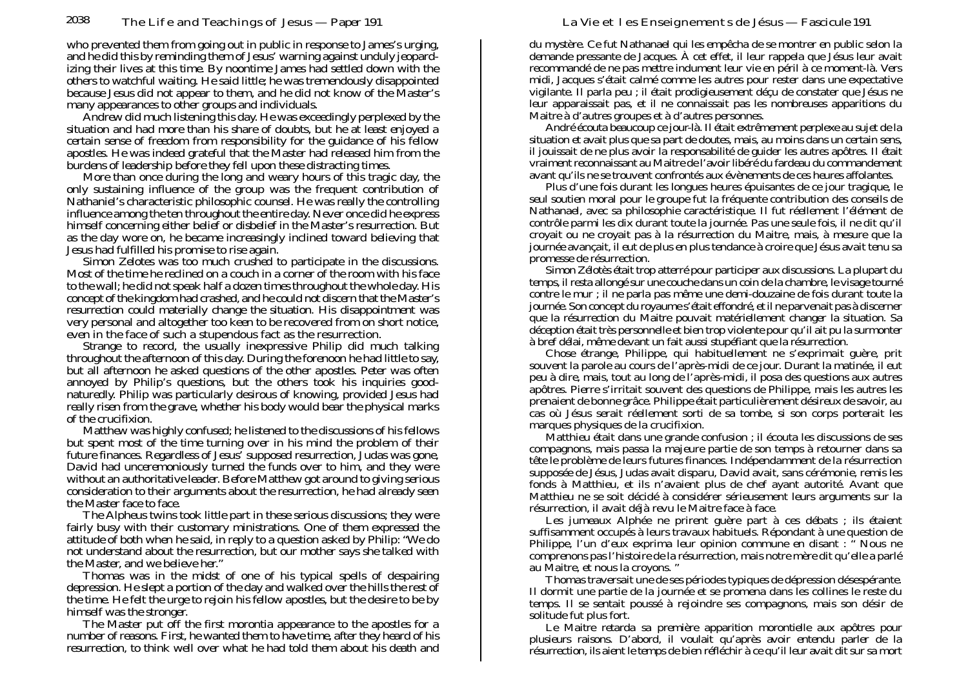who prevented them from going out in public in response to James's urging, and he did this by reminding them of Jesus' warning against unduly jeopardizing their lives at this time. By noontime James had settled down with the others to watchful waiting. He said little; he was tremendously disappointed because Jesus did not appear to them, and he did not know of the Master's many appearances to other groups and individuals.

Andrew did much listening this day. He was exceedingly perplexed by the situation and had more than his share of doubts, but he at least enjoyed a certain sense of freedom from responsibility for the guidance of his fellow apostles. He was indeed grateful that the Master had released him from the burdens of leadership before they fell upon these distracting times.

More than once during the long and weary hours of this tragic day, the only sustaining influence of the group was the frequent contribution of Nathaniel's characteristic philosophic counsel. He was really the controlling influence among the ten throughout the entire day. Never once did he express himself concerning either belief or disbelief in the Master's resurrection. But as the day wore on, he became increasingly inclined toward believing that Jesus had fulfilled his promise to rise again.

Simon Zelotes was too much crushed to participate in the discussions. Most of the time he reclined on a couch in a corner of the room with his face to the wall; he did not speak half a dozen times throughout the whole day. His concept of the kingdom had crashed, and he could not discern that the Master's resurrection could materially change the situation. His disappointment was very personal and altogether too keen to be recovered from on short notice, even in the face of such a stupendous fact as the resurrection.

Strange to record, the usually inexpressive Philip did much talking throughout the afternoon of this day. During the forenoon he had little to say, but all afternoon he asked questions of the other apostles. Peter was often annoyed by Philip's questions, but the others took his inquiries goodnaturedly. Philip was particularly desirous of knowing, provided Jesus had really risen from the grave, whether his body would bear the physical marks of the crucifixion.

Matthew was highly confused; he listened to the discussions of his fellows but spent most of the time turning over in his mind the problem of their future finances. Regardless of Jesus' supposed resurrection, Judas was gone, David had unceremoniously turned the funds over to him, and they were without an authoritative leader. Before Matthew got around to giving serious consideration to their arguments about the resurrection, he had already seen the Master face to face.

The Alpheus twins took little part in these serious discussions; they were fairly busy with their customary ministrations. One of them expressed the attitude of both when he said, in reply to a question asked by Philip: "We do not understand about the resurrection, but our mother says she talked with the Master, and we believe her."

Thomas was in the midst of one of his typical spells of despairing depression. He slept a portion of the day and walked over the hills the rest of the time. He felt the urge to rejoin his fellow apostles, but the desire to be by himself was the stronger.

The Master put off the first morontia appearance to the apostles for a number of reasons. First, he wanted them to have time, after they heard of his resurrection, to think well over what he had told them about his death and du mystère. Ce fut Nathanael qui les empêcha de se montrer en public selon la demande pressante de Jacques. À cet effet, il leur rappela que Jésus leur avait recommandé de ne pas mettre indument leur vie en péril à ce moment-là. Vers midi, Jacques s'était calmé comme les autres pour rester dans une expectative vigilante. Il parla peu ; il était prodigieusement déçu de constater que Jésus ne leur apparaissait pas, et il ne connaissait pas les nombreuses apparitions du Maitre à d'autres groupes et à d'autres personnes.

André écouta beaucoup ce jour-là. Il était extrêmement perplexe au sujet de la situation et avait plus que sa part de doutes, mais, au moins dans un certain sens, il jouissait de ne plus avoir la responsabilité de guider les autres apôtres. Il était vraiment reconnaissant au Maitre de l'avoir libéré du fardeau du commandement avant qu'ils ne se trouvent confrontés aux évènements de ces heures affolantes.

Plus d'une fois durant les longues heures épuisantes de ce jour tragique, le seul soutien moral pour le groupe fut la fréquente contribution des conseils de Nathanael, avec sa philosophie caractéristique. Il fut réellement l'élément de contrôle parmi les dix durant toute la journée. Pas une seule fois, il ne dit qu'il croyait ou ne croyait pas à la résurrection du Maitre, mais, à mesure que la journée avançait, il eut de plus en plus tendance à croire que Jésus avait tenu sa promesse de résurrection.

Simon Zélotès était trop atterré pour participer aux discussions. La plupart du temps, il resta allongé sur une couche dans un coin de la chambre, le visage tourné contre le mur ; il ne parla pas même une demi-douzaine de fois durant toute la journée. Son concept du royaume s'était effondré, et il ne parvenait pas à discerner que la résurrection du Maitre pouvait matériellement changer la situation. Sa déception était très personnelle et bien trop violente pour qu'il ait pu la surmonter à bref délai, même devant un fait aussi stupéfiant que la résurrection.

Chose étrange, Philippe, qui habituellement ne s'exprimait guère, prit souvent la parole au cours de l'après-midi de ce jour. Durant la matinée, il eut peu à dire, mais, tout au long de l'après-midi, il posa des questions aux autres apôtres. Pierre s'irritait souvent des questions de Philippe, mais les autres les prenaient de bonne grâce. Philippe était particulièrement désireux de savoir, au cas où Jésus serait réellement sorti de sa tombe, si son corps porterait les marques physiques de la crucifixion.

Matthieu était dans une grande confusion ; il écouta les discussions de ses compagnons, mais passa la majeure partie de son temps à retourner dans sa tête le problème de leurs futures finances. Indépendamment de la résurrection supposée de Jésus, Judas avait disparu, David avait, sans cérémonie, remis les fonds à Matthieu, et ils n'avaient plus de chef ayant autorité. Avant que Matthieu ne se soit décidé à considérer sérieusement leurs arguments sur la résurrection, il avait déjà revu le Maitre face à face.

Les jumeaux Alphée ne prirent guère part à ces débats ; ils étaient suffisamment occupés à leurs travaux habituels. Répondant à une question de Philippe, l'un d'eux exprima leur opinion commune en disant : " Nous ne comprenons pas l'histoire de la résurrection, mais notre mère dit qu'elle a parlé au Maitre, et nous la croyons. "

Thomas traversait une de ses périodes typiques de dépression désespérante. Il dormit une partie de la journée et se promena dans les collines le reste du temps. Il se sentait poussé à rejoindre ses compagnons, mais son désir de solitude fut plus fort.

Le Maitre retarda sa première apparition morontielle aux apôtres pour plusieurs raisons. D'abord, il voulait qu'après avoir entendu parler de la résurrection, ils aient le temps de bien réfléchir à ce qu'il leur avait dit sur sa mort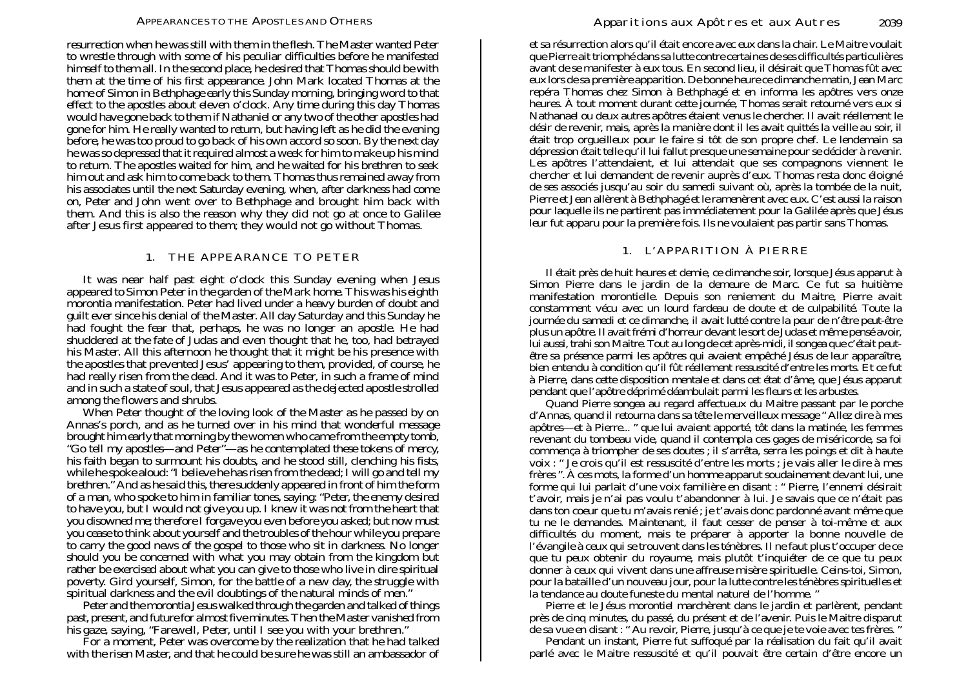resurrection when he was still with them in the flesh. The Master wanted Peter to wrestle through with some of his peculiar difficulties before he manifested himself to them all. In the second place, he desired that Thomas should be with them at the time of his first appearance. John Mark located Thomas at the home of Simon in Bethphage early this Sunday morning, bringing word to that effect to the apostles about eleven o'clock. Any time during this day Thomas would have gone back to them if Nathaniel or any two of the other apostles had gone for him. He really wanted to return, but having left as he did the evening before, he was too proud to go back of his own accord so soon. By the next day he was so depressed that it required almost a week for him to make up his mind to return. The apostles waited for him, and he waited for his brethren to seek him out and ask him to come back to them. Thomas thus remained away from his associates until the next Saturday evening, when, after darkness had come on, Peter and John went over to Bethphage and brought him back with them. And this is also the reason why they did not go at once to Galilee after Jesus first appeared to them; they would not go without Thomas.

#### 1. THE APPEARANCE TO PETER

It was near half past eight o'clock this Sunday evening when Jesus appeared to Simon Peter in the garden of the Mark home. This was his eighth morontia manifestation. Peter had lived under a heavy burden of doubt and guilt ever since his denial of the Master. All day Saturday and this Sunday he had fought the fear that, perhaps, he was no longer an apostle. He had shuddered at the fate of Judas and even thought that he, too, had betrayed his Master. All this afternoon he thought that it might be his presence with the apostles that prevented Jesus' appearing to them, provided, of course, he had really risen from the dead. And it was to Peter, in such a frame of mind and in such a state of soul, that Jesus appeared as the dejected apostle strolled among the flowers and shrubs.

When Peter thought of the loving look of the Master as he passed by on Annas's porch, and as he turned over in his mind that wonderful message brought him early that morning by the women who came from the empty tomb, "Go tell my apostles—and Peter"—as he contemplated these tokens of mercy, his faith began to surmount his doubts, and he stood still, clenching his fists, while he spoke aloud: "I believe he has risen from the dead; I will go and tell my brethren." And as he said this, there suddenly appeared in front of him the form of a man, who spoke to him in familiar tones, saying: "Peter, the enemy desired to have you, but I would not give you up. I knew it was not from the heart that you disowned me; therefore I forgave you even before you asked; but now must you cease to think about yourself and the troubles of the hour while you prepare to carry the good news of the gospel to those who sit in darkness. No longer should you be concerned with what you may obtain from the kingdom but rather be exercised about what you can give to those who live in dire spiritual poverty. Gird yourself, Simon, for the battle of a new day, the struggle with spiritual darkness and the evil doubtings of the natural minds of men."

Peter and the morontia Jesus walked through the garden and talked of things past, present, and future for almost five minutes. Then the Master vanished from his gaze, saying, "Farewell, Peter, until I see you with your brethren."

For a moment, Peter was overcome by the realization that he had talked with the risen Master, and that he could be sure he was still an ambassador of et sa résurrection alors qu'il était encore avec eux dans la chair. Le Maitre voulait que Pierre ait triomphé dans sa lutte contre certaines de ses difficultés particulières avant de se manifester à eux tous. En second lieu, il désirait que Thomas fût avec eux lors de sa première apparition. De bonne heure ce dimanche matin, Jean Marc repéra Thomas chez Simon à Bethphagé et en informa les apôtres vers onze heures. À tout moment durant cette journée, Thomas serait retourné vers eux si Nathanael ou deux autres apôtres étaient venus le chercher. Il avait réellement le désir de revenir, mais, après la manière dont il les avait quittés la veille au soir, il était trop orgueilleux pour le faire si tôt de son propre chef. Le lendemain sa dépression était telle qu'il lui fallut presque une semaine pour se décider à revenir. Les apôtres l'attendaient, et lui attendait que ses compagnons viennent le chercher et lui demandent de revenir auprès d'eux. Thomas resta donc éloigné de ses associés jusqu'au soir du samedi suivant où, après la tombée de la nuit, Pierre et Jean allèrent à Bethphagé et le ramenèrent avec eux. C'est aussi la raison pour laquelle ils ne partirent pas immédiatement pour la Galilée après que Jésus leur fut apparu pour la première fois. Ils ne voulaient pas partir sans Thomas.

#### 1. L'APPARITION À PIERRE

Il était près de huit heures et demie, ce dimanche soir, lorsque Jésus apparut à Simon Pierre dans le jardin de la demeure de Marc. Ce fut sa huitième manifestation morontielle. Depuis son reniement du Maitre, Pierre avait constamment vécu avec un lourd fardeau de doute et de culpabilité. Toute la journée du samedi et ce dimanche, il avait lutté contre la peur de n'être peut-être plus un apôtre. Il avait frémi d'horreur devant le sort de Judas et même pensé avoir, lui aussi, trahi son Maitre. Tout au long de cet après-midi, il songea que c'était peutêtre sa présence parmi les apôtres qui avaient empêché Jésus de leur apparaître, bien entendu à condition qu'il fût réellement ressuscité d'entre les morts. Et ce fut à Pierre, dans cette disposition mentale et dans cet état d'âme, que Jésus apparut pendant que l'apôtre déprimé déambulait parmi les fleurs et les arbustes.

Quand Pierre songea au regard affectueux du Maitre passant par le porche d'Annas, quand il retourna dans sa tête le merveilleux message " Allez dire à mes apôtres—et à Pierre... " que lui avaient apporté, tôt dans la matinée, les femmes revenant du tombeau vide, quand il contempla ces gages de miséricorde, sa foi commença à triompher de ses doutes ; il s'arrêta, serra les poings et dit à haute voix : " Je crois qu'il est ressuscité d'entre les morts ; je vais aller le dire à mes frères ". À ces mots, la forme d'un homme apparut soudainement devant lui, une forme qui lui parlait d'une voix familière en disant : " Pierre, l'ennemi désirait t'avoir, mais je n'ai pas voulu t'abandonner à lui. Je savais que ce n'était pas dans ton coeur que tu m'avais renié ; je t'avais donc pardonné avant même que tu ne le demandes. Maintenant, il faut cesser de penser à toi-même et aux difficultés du moment, mais te préparer à apporter la bonne nouvelle de l'évangile à ceux qui se trouvent dans les ténèbres. Il ne faut plus t'occuper de ce que tu peux obtenir du royaume, mais plutôt t'inquiéter de ce que tu peux donner à ceux qui vivent dans une affreuse misère spirituelle. Ceins-toi, Simon, pour la bataille d'un nouveau jour, pour la lutte contre les ténèbres spirituelles et la tendance au doute funeste du mental naturel de l'homme. "

Pierre et le Jésus morontiel marchèrent dans le jardin et parlèrent, pendant près de cinq minutes, du passé, du présent et de l'avenir. Puis le Maitre disparut de sa vue en disant : " Au revoir, Pierre, jusqu'à ce que je te voie avec tes frères. "

Pendant un instant, Pierre fut suffoqué par la réalisation du fait qu'il avait parlé avec le Maitre ressuscité et qu'il pouvait être certain d'être encore un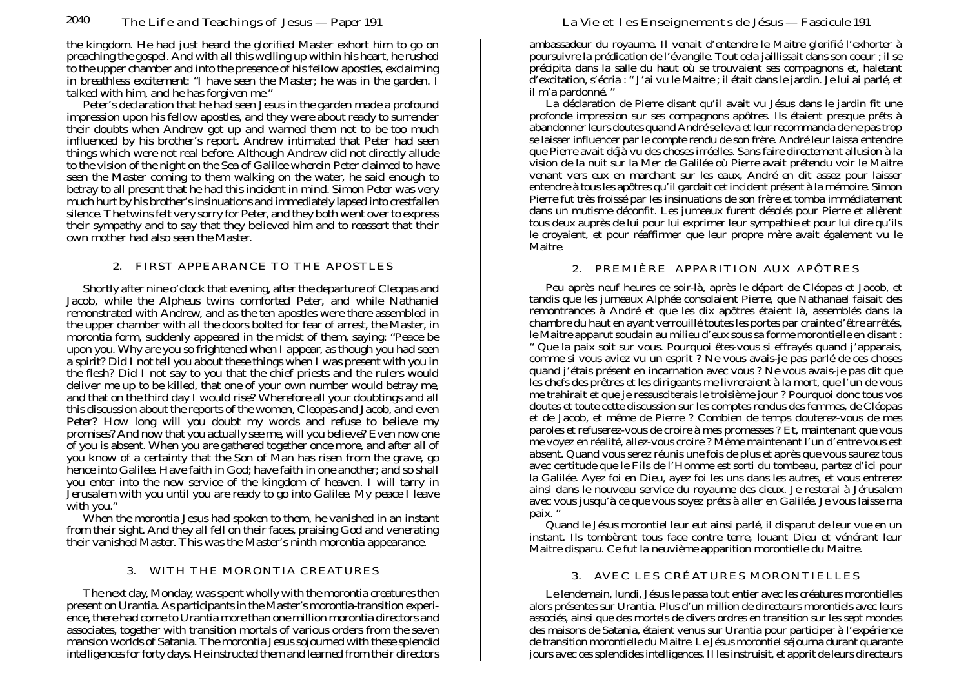the kingdom. He had just heard the glorified Master exhort him to go on preaching the gospel. And with all this welling up within his heart, he rushed to the upper chamber and into the presence of his fellow apostles, exclaiming in breathless excitement: "I have seen the Master; he was in the garden. I talked with him, and he has forgiven me."

Peter's declaration that he had seen Jesus in the garden made a profound impression upon his fellow apostles, and they were about ready to surrender their doubts when Andrew got up and warned them not to be too much influenced by his brother's report. Andrew intimated that Peter had seen things which were not real before. Although Andrew did not directly allude to the vision of the night on the Sea of Galilee wherein Peter claimed to have seen the Master coming to them walking on the water, he said enough to betray to all present that he had this incident in mind. Simon Peter was very much hurt by his brother's insinuations and immediately lapsed into crestfallen silence. The twins felt very sorry for Peter, and they both went over to express their sympathy and to say that they believed him and to reassert that their own mother had also seen the Master.

#### 2. FIRST APPEARANCE TO THE APOSTLES

Shortly after nine o'clock that evening, after the departure of Cleopas and Jacob, while the Alpheus twins comforted Peter, and while Nathaniel remonstrated with Andrew, and as the ten apostles were there assembled in the upper chamber with all the doors bolted for fear of arrest, the Master, in morontia form, suddenly appeared in the midst of them, saying: "Peace be upon you. Why are you so frightened when I appear, as though you had seen a spirit? Did I not tell you about these things when I was present with you in the flesh? Did I not say to you that the chief priests and the rulers would deliver me up to be killed, that one of your own number would betray me, and that on the third day I would rise? Wherefore all your doubtings and all this discussion about the reports of the women, Cleopas and Jacob, and even Peter? How long will you doubt my words and refuse to believe my promises? And now that you actually see me, will you believe? Even now one of you is absent. When you are gathered together once more, and after all of you know of a certainty that the Son of Man has risen from the grave, go hence into Galilee. Have faith in God; have faith in one another; and so shall you enter into the new service of the kingdom of heaven. I will tarry in Jerusalem with you until you are ready to go into Galilee. My peace I leave with you."

When the morontia Jesus had spoken to them, he vanished in an instant from their sight. And they all fell on their faces, praising God and venerating their vanished Master. This was the Master's ninth morontia appearance.

#### 3. WITH THE MORONTIA CREATURES

The next day, Monday, was spent wholly with the morontia creatures then present on Urantia. As participants in the Master's morontia-transition experience, there had come to Urantia more than one million morontia directors and associates, together with transition mortals of various orders from the seven mansion worlds of Satania. The morontia Jesus sojourned with these splendid intelligences for forty days. He instructed them and learned from their directors ambassadeur du royaume. Il venait d'entendre le Maitre glorifié l'exhorter à poursuivre la prédication de l'évangile. Tout cela jaillissait dans son coeur ; il se précipita dans la salle du haut où se trouvaient ses compagnons et, haletant d'excitation, s'écria : " J'ai vu le Maitre ; il était dans le jardin. Je lui ai parlé, et il m'a pardonné. "

La déclaration de Pierre disant qu'il avait vu Jésus dans le jardin fit une profonde impression sur ses compagnons apôtres. Ils étaient presque prêts à abandonner leurs doutes quand André se leva et leur recommanda de ne pas trop se laisser influencer par le compte rendu de son frère. André leur laissa entendre que Pierre avait déjà vu des choses irréelles. Sans faire directement allusion à la vision de la nuit sur la Mer de Galilée où Pierre avait prétendu voir le Maitre venant vers eux en marchant sur les eaux, André en dit assez pour laisser entendre à tous les apôtres qu'il gardait cet incident présent à la mémoire. Simon Pierre fut très froissé par les insinuations de son frère et tomba immédiatement dans un mutisme déconfit. Les jumeaux furent désolés pour Pierre et allèrent tous deux auprès de lui pour lui exprimer leur sympathie et pour lui dire qu'ils le croyaient, et pour réaffirmer que leur propre mère avait également vu le Maitre.

#### 2. PREMIÈRE APPARITION AUX APÔTRES

Peu après neuf heures ce soir-là, après le départ de Cléopas et Jacob, et tandis que les jumeaux Alphée consolaient Pierre, que Nathanael faisait des remontrances à André et que les dix apôtres étaient là, assemblés dans la chambre du haut en ayant verrouillé toutes les portes par crainte d'être arrêtés, le Maitre apparut soudain au milieu d'eux sous sa forme morontielle en disant : " Que la paix soit sur vous. Pourquoi êtes-vous si effrayés quand j'apparais, comme si vous aviez vu un esprit ? Ne vous avais-je pas parlé de ces choses quand j'étais présent en incarnation avec vous ? Ne vous avais-je pas dit que les chefs des prêtres et les dirigeants me livreraient à la mort, que l'un de vous me trahirait et que je ressusciterais le troisième jour ? Pourquoi donc tous vos doutes et toute cette discussion sur les comptes rendus des femmes, de Cléopas et de Jacob, et même de Pierre ? Combien de temps douterez-vous de mes paroles et refuserez-vous de croire à mes promesses ? Et, maintenant que vous me voyez en réalité, allez-vous croire ? Même maintenant l'un d'entre vous est absent. Quand vous serez réunis une fois de plus et après que vous saurez tous avec certitude que le Fils de l'Homme est sorti du tombeau, partez d'ici pour la Galilée. Ayez foi en Dieu, ayez foi les uns dans les autres, et vous entrerez ainsi dans le nouveau service du royaume des cieux. Je resterai à Jérusalem avec vous jusqu'à ce que vous soyez prêts à aller en Galilée. Je vous laisse ma paix.'

Quand le Jésus morontiel leur eut ainsi parlé, il disparut de leur vue en un instant. Ils tombèrent tous face contre terre, louant Dieu et vénérant leur Maitre disparu. Ce fut la neuvième apparition morontielle du Maitre.

#### 3. AVEC LES CRÉATURES MORONTIELLES

Le lendemain, lundi, Jésus le passa tout entier avec les créatures morontielles alors présentes sur Urantia. Plus d'un million de directeurs morontiels avec leurs associés, ainsi que des mortels de divers ordres en transition sur les sept mondes des maisons de Satania, étaient venus sur Urantia pour participer à l'expérience de transition morontielle du Maitre. Le Jésus morontiel séjourna durant quarante jours avec ces splendides intelligences. Il les instruisit, et apprit de leurs directeurs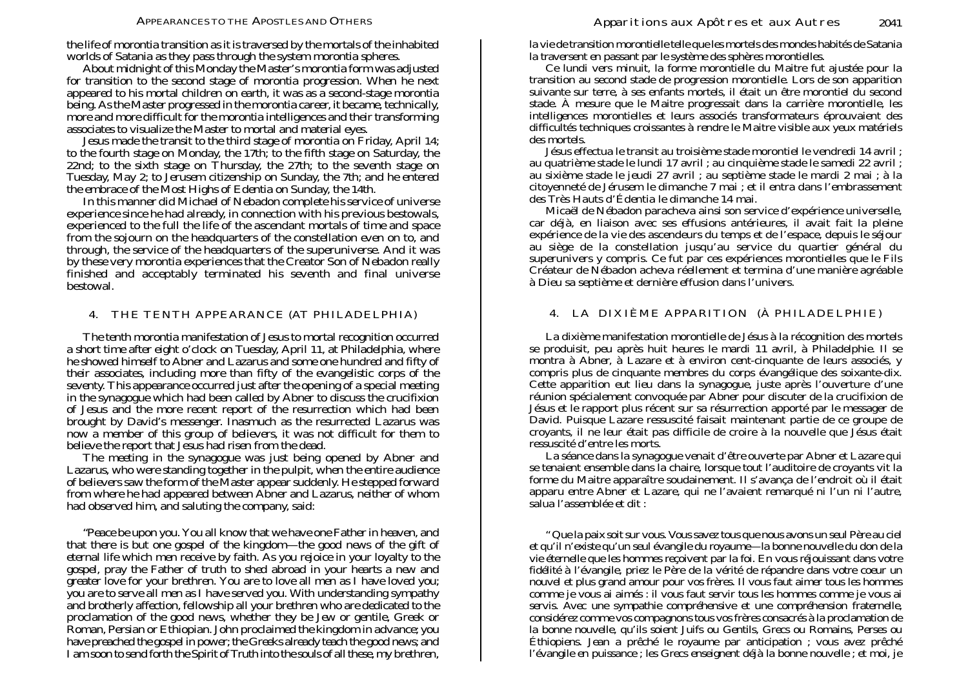the life of morontia transition as it is traversed by the mortals of the inhabited worlds of Satania as they pass through the system morontia spheres.

About midnight of this Monday the Master's morontia form was adjusted for transition to the second stage of morontia progression. When he next appeared to his mortal children on earth, it was as a second-stage morontia being. As the Master progressed in the morontia career, it became, technically, more and more difficult for the morontia intelligences and their transforming associates to visualize the Master to mortal and material eyes.

Jesus made the transit to the third stage of morontia on Friday, April 14; to the fourth stage on Monday, the 17th; to the fifth stage on Saturday, the 22nd; to the sixth stage on Thursday, the 27th; to the seventh stage on Tuesday, May 2; to Jerusem citizenship on Sunday, the 7th; and he entered the embrace of the Most Highs of Edentia on Sunday, the 14th.

In this manner did Michael of Nebadon complete his service of universe experience since he had already, in connection with his previous bestowals, experienced to the full the life of the ascendant mortals of time and space from the sojourn on the headquarters of the constellation even on to, and through, the service of the headquarters of the superuniverse. And it was by these very morontia experiences that the Creator Son of Nebadon really finished and acceptably terminated his seventh and final universe bestowal.

## 4. THE TENTH APPEARANCE (AT PHILADELPHIA)

The tenth morontia manifestation of Jesus to mortal recognition occurred a short time after eight o'clock on Tuesday, April 11, at Philadelphia, where he showed himself to Abner and Lazarus and some one hundred and fifty of their associates, including more than fifty of the evangelistic corps of the seventy. This appearance occurred just after the opening of a special meeting in the synagogue which had been called by Abner to discuss the crucifixion of Jesus and the more recent report of the resurrection which had been brought by David's messenger. Inasmuch as the resurrected Lazarus was now a member of this group of believers, it was not difficult for them to believe the report that Jesus had risen from the dead.

The meeting in the synagogue was just being opened by Abner and Lazarus, who were standing together in the pulpit, when the entire audience of believers saw the form of the Master appear suddenly. He stepped forward from where he had appeared between Abner and Lazarus, neither of whom had observed him, and saluting the company, said:

"Peace be upon you. You all know that we have one Father in heaven, and that there is but one gospel of the kingdom—the good news of the gift of eternal life which men receive by faith. As you rejoice in your loyalty to the gospel, pray the Father of truth to shed abroad in your hearts a new and greater love for your brethren. You are to love all men as I have loved you; you are to serve all men as I have served you. With understanding sympathy and brotherly affection, fellowship all your brethren who are dedicated to the proclamation of the good news, whether they be Jew or gentile, Greek or Roman, Persian or Ethiopian. John proclaimed the kingdom in advance; you have preached the gospel in power; the Greeks already teach the good news; and I am soon to send forth the Spirit of Truth into the souls of all these, my brethren,

la vie de transition morontielle telle que les mortels des mondes habités de Satania la traversent en passant par le système des sphères morontielles.

Ce lundi vers minuit, la forme morontielle du Maitre fut ajustée pour la transition au second stade de progression morontielle. Lors de son apparition suivante sur terre, à ses enfants mortels, il était un être morontiel du second stade. À mesure que le Maitre progressait dans la carrière morontielle, les intelligences morontielles et leurs associés transformateurs éprouvaient des difficultés techniques croissantes à rendre le Maitre visible aux yeux matériels des mortels.

Jésus effectua le transit au troisième stade morontiel le vendredi 14 avril ; au quatrième stade le lundi 17 avril ; au cinquième stade le samedi 22 avril ; au sixième stade le jeudi 27 avril ; au septième stade le mardi 2 mai ; à la citoyenneté de Jérusem le dimanche <sup>7</sup> mai ; et il entra dans l'embrassement des Très Hauts d'Édentia le dimanche <sup>14</sup> mai.

Micaël de Nébadon paracheva ainsi son service d'expérience universelle, car déjà, en liaison avec ses effusions antérieures, il avait fait la pleine expérience de la vie des ascendeurs du temps et de l'espace, depuis le séjour au siège de la constellation jusqu'au service du quartier général du superunivers y compris. Ce fut par ces expériences morontielles que le Fils Créateur de Nébadon acheva réellement et termina d'une manière agréable à Dieu sa septième et dernière effusion dans l'univers.

# 4. LA DIXIÈME APPARITION (À PHILADELPHIE)

La dixième manifestation morontielle de Jésus à la récognition des mortels se produisit, peu après huit heures le mardi 11 avril, à Philadelphie. Il se montra à Abner, à Lazare et à environ cent-cinquante de leurs associés, y compris plus de cinquante membres du corps évangélique des soixante-dix. Cette apparition eut lieu dans la synagogue, juste après l'ouverture d'une réunion spécialement convoquée par Abner pour discuter de la crucifixion de Jésus et le rapport plus récent sur sa résurrection apporté par le messager de David. Puisque Lazare ressuscité faisait maintenant partie de ce groupe de croyants, il ne leur était pas difficile de croire à la nouvelle que Jésus était ressuscité d'entre les morts.

La séance dans la synagogue venait d'être ouverte par Abner et Lazare qui se tenaient ensemble dans la chaire, lorsque tout l'auditoire de croyants vit la forme du Maitre apparaître soudainement. Il s'avança de l'endroit où il était apparu entre Abner et Lazare, qui ne l'avaient remarqué ni l'un ni l'autre, salua l'assemblée et dit :

" Que la paix soit sur vous. Vous savez tous que nous avons un seul Père au ciel et qu'il n'existe qu'un seul évangile du royaume—la bonne nouvelle du don de la vie éternelle que les hommes reçoivent par la foi. En vous réjouissant dans votre fidélité à l'évangile, priez le Père de la vérité de répandre dans votre coeur un nouvel et plus grand amour pour vos frères. Il vous faut aimer tous les hommes comme je vous ai aimés : il vous faut servir tous les hommes comme je vous ai servis. Avec une sympathie compréhensive et une compréhension fraternelle, considérez comme vos compagnons tous vos frères consacrés à la proclamation de la bonne nouvelle, qu'ils soient Juifs ou Gentils, Grecs ou Romains, Perses ou Éthiopiens. Jean a prêché le royaume par anticipation ; vous avez prêché l'évangile en puissance ; les Grecs enseignent déjà la bonne nouvelle ; et moi, je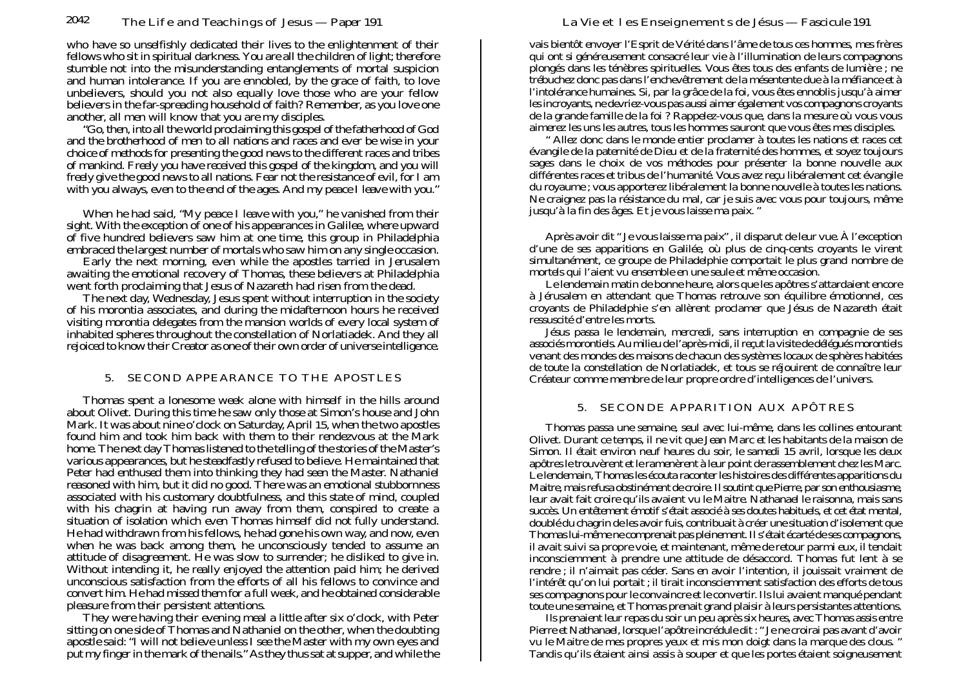who have so unselfishly dedicated their lives to the enlightenment of their fellows who sit in spiritual darkness. You are all the children of light; therefore stumble not into the misunderstanding entanglements of mortal suspicion and human intolerance. If you are ennobled, by the grace of faith, to love unbelievers, should you not also equally love those who are your fellow believers in the far-spreading household of faith? Remember, as you love one another, all men will know that you are my disciples.

"Go, then, into all the world proclaiming this gospel of the fatherhood of God and the brotherhood of men to all nations and races and ever be wise in your choice of methods for presenting the good news to the different races and tribes of mankind. Freely you have received this gospel of the kingdom, and you will freely give the good news to all nations. Fear not the resistance of evil, for I am with you always, even to the end of the ages. And my peace I leave with you."

When he had said, "My peace I leave with you," he vanished from their sight. With the exception of one of his appearances in Galilee, where upward of five hundred believers saw him at one time, this group in Philadelphia embraced the largest number of mortals who saw him on any single occasion.

Early the next morning, even while the apostles tarried in Jerusalem awaiting the emotional recovery of Thomas, these believers at Philadelphia went forth proclaiming that Jesus of Nazareth had risen from the dead.

The next day, Wednesday, Jesus spent without interruption in the society of his morontia associates, and during the midafternoon hours he received visiting morontia delegates from the mansion worlds of every local system of inhabited spheres throughout the constellation of Norlatiadek. And they all rejoiced to know their Creator as one of their own order of universe intelligence.

### 5. SECOND APPEARANCE TO THE APOSTLES

Thomas spent a lonesome week alone with himself in the hills around about Olivet. During this time he saw only those at Simon's house and John Mark. It was about nine o'clock on Saturday, April 15, when the two apostles found him and took him back with them to their rendezvous at the Mark home. The next day Thomas listened to the telling of the stories of the Master's various appearances, but he steadfastly refused to believe. He maintained that Peter had enthused them into thinking they had seen the Master. Nathaniel reasoned with him, but it did no good. There was an emotional stubbornness associated with his customary doubtfulness, and this state of mind, coupled with his chagrin at having run away from them, conspired to create a situation of isolation which even Thomas himself did not fully understand. He had withdrawn from his fellows, he had gone his own way, and now, even when he was back among them, he unconsciously tended to assume an attitude of disagreement. He was slow to surrender; he disliked to give in. Without intending it, he really enjoyed the attention paid him; he derived unconscious satisfaction from the efforts of all his fellows to convince and convert him. He had missed them for a full week, and he obtained considerable pleasure from their persistent attentions.

They were having their evening meal a little after six o'clock, with Peter sitting on one side of Thomas and Nathaniel on the other, when the doubting apostle said: "I will not believe unless I see the Master with my own eyes and put my finger in the mark of the nails." As they thus sat at supper, and while the vais bientôt envoyer l'Esprit de Vérité dans l'âme de tous ces hommes, mes frères qui ont si généreusement consacré leur vie à l'illumination de leurs compagnons plongés dans les ténèbres spirituelles. Vous êtes tous des enfants de lumière ; ne trébuchez donc pas dans l'enchevêtrement de la mésentente due à la méfiance et à l'intolérance humaines. Si, par la grâce de la foi, vous êtes ennoblis jusqu'à aimer les incroyants, ne devriez-vous pas aussi aimer également vos compagnons croyants de la grande famille de la foi ? Rappelez-vous que, dans la mesure où vous vous aimerez les uns les autres, tous les hommes sauront que vous êtes mes disciples.

" Allez donc dans le monde entier proclamer à toutes les nations et races cet évangile de la paternité de Dieu et de la fraternité des hommes, et soyez toujours sages dans le choix de vos méthodes pour présenter la bonne nouvelle aux différentes races et tribus de l'humanité. Vous avez reçu libéralement cet évangile du royaume ; vous apporterez libéralement la bonne nouvelle à toutes les nations. Ne craignez pas la résistance du mal, car je suis avec vous pour toujours, même jusqu'à la fin des âges. Et je vous laisse ma paix. "

Après avoir dit " Je vous laisse ma paix" , il disparut de leur vue. À l'exception d'une de ses apparitions en Galilée, où plus de cinq-cents croyants le virent simultanément, ce groupe de Philadelphie comportait le plus grand nombre de mortels qui l'aient vu ensemble en une seule et même occasion.

Le lendemain matin de bonne heure, alors que les apôtres s'attardaient encore à Jérusalem en attendant que Thomas retrouve son équilibre émotionnel, ces croyants de Philadelphie s'en allèrent proclamer que Jésus de Nazareth était ressuscité d'entre les morts.

Jésus passa le lendemain, mercredi, sans interruption en compagnie de ses associés morontiels. Au milieu de l'après-midi, il reçut la visite de délégués morontiels venant des mondes des maisons de chacun des systèmes locaux de sphères habitées de toute la constellation de Norlatiadek, et tous se réjouirent de connaître leur Créateur comme membre de leur propre ordre d'intelligences de l'univers.

## 5. SECONDE APPARITION AUX APÔTRES

Thomas passa une semaine, seul avec lui-même, dans les collines entourant Olivet. Durant ce temps, il ne vit que Jean Marc et les habitants de la maison de Simon. Il était environ neuf heures du soir, le samedi 15 avril, lorsque les deux apôtres le trouvèrent et le ramenèrent à leur point de rassemblement chez les Marc. Le lendemain, Thomas les écouta raconter les histoires des différentes apparitions du Maitre, mais refusa obstinément de croire. Il soutint que Pierre, par son enthousiasme, leur avait fait croire qu'ils avaient vu le Maitre. Nathanael le raisonna, mais sans succès. Un entêtement émotif s'était associé à ses doutes habituels, et cet état mental, doublé du chagrin de les avoir fuis, contribuait à créer une situation d'isolement que Thomas lui-même ne comprenait pas pleinement. Il s'était écarté de ses compagnons, il avait suivi sa propre voie, et maintenant, même de retour parmi eux, il tendait inconsciemment à prendre une attitude de désaccord. Thomas fut lent à se rendre ; il n'aimait pas céder. Sans en avoir l'intention, il jouissait vraiment de l'intérêt qu'on lui portait ; il tirait inconsciemment satisfaction des efforts de tous ses compagnons pour le convaincre et le convertir. Ils lui avaient manqué pendant toute une semaine, et Thomas prenait grand plaisir à leurs persistantes attentions.

Ils prenaient leur repas du soir un peu après six heures, avec Thomas assis entre Pierre et Nathanael, lorsque l'apôtre incrédule dit : " Je ne croirai pas avant d'avoir vu le Maitre de mes propres yeux et mis mon doigt dans la marque des clous. " Tandis qu'ils étaient ainsi assis à souper et que les portes étaient soigneusement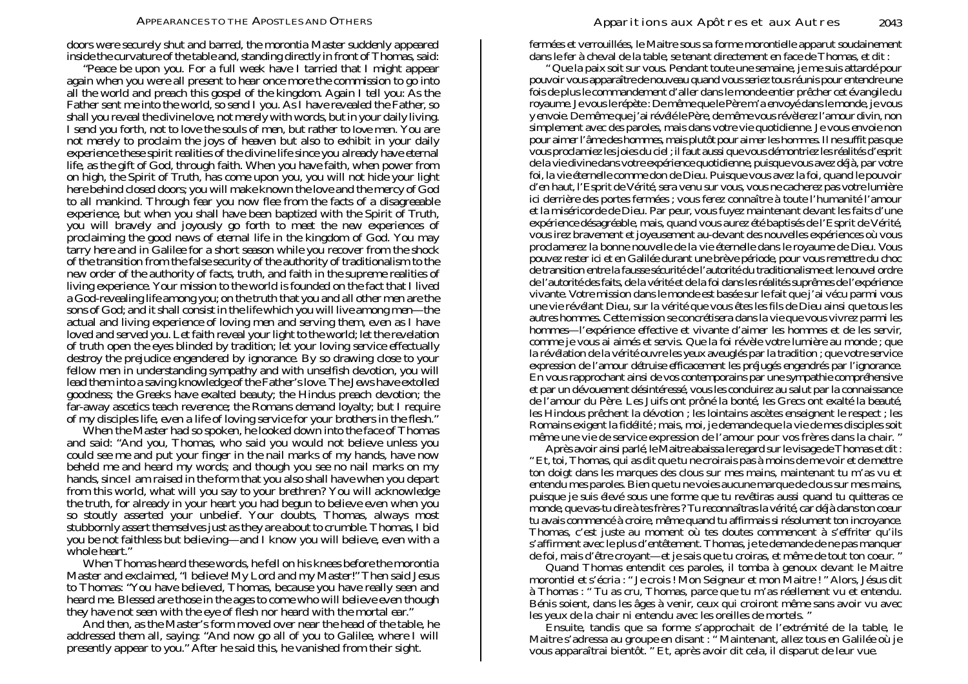doors were securely shut and barred, the morontia Master suddenly appeared inside the curvature of the table and, standing directly in front of Thomas, said:

"Peace be upon you. For a full week have I tarried that I might appear again when you were all present to hear once more the commission to go into all the world and preach this gospel of the kingdom. Again I tell you: As the Father sent me into the world, so send I you. As I have revealed the Father, so shall you reveal the divine love, not merely with words, but in your daily living. I send you forth, not to love the souls of men, but rather to *love men.* You are not merely to proclaim the joys of heaven but also to exhibit in your daily experience these spirit realities of the divine life since you already have eternal life, as the gift of God, through faith. When you have faith, when power from on high, the Spirit of Truth, has come upon you, you will not hide your light here behind closed doors; you will make known the love and the mercy of God to all mankind. Through fear you now flee from the facts of a disagreeable experience, but when you shall have been baptized with the Spirit of Truth, you will bravely and joyously go forth to meet the new experiences of proclaiming the good news of eternal life in the kingdom of God. You may tarry here and in Galilee for a short season while you recover from the shock of the transition from the false security of the authority of traditionalism to the new order of the authority of facts, truth, and faith in the supreme realities of living experience. Your mission to the world is founded on the fact that I lived a God-revealing life among you; on the truth that you and all other men are the sons of God; and it shall consist in the life which you will live among men—the actual and living experience of loving men and serving them, even as I have loved and served you. Let faith reveal your light to the world; let the revelation of truth open the eyes blinded by tradition; let your loving service effectually destroy the prejudice engendered by ignorance. By so drawing close to your fellow men in understanding sympathy and with unselfish devotion, you will lead them into a saving knowledge of the Father's love. The Jews have extolled goodness; the Greeks have exalted beauty; the Hindus preach devotion; the far-away ascetics teach reverence; the Romans demand loyalty; but I require of my disciples life, even a life of loving service for your brothers in the flesh."

When the Master had so spoken, he looked down into the face of Thomas and said: "And you, Thomas, who said you would not believe unless you could see me and put your finger in the nail marks of my hands, have now beheld me and heard my words; and though you see no nail marks on my hands, since I am raised in the form that you also shall have when you depart from this world, what will you say to your brethren? You will acknowledge the truth, for already in your heart you had begun to believe even when you so stoutly asserted your unbelief. Your doubts, Thomas, always most stubbornly assert themselves just as they are about to crumble. Thomas, I bid you be not faithless but believing—and I know you will believe, even with a whole heart."

When Thomas heard these words, he fell on his knees before the morontia Master and exclaimed, "I believe! My Lord and my Master!" Then said Jesus to Thomas: "You have believed, Thomas, because you have really seen and heard me. Blessed are those in the ages to come who will believe even though they have not seen with the eye of flesh nor heard with the mortal ear."

And then, as the Master's form moved over near the head of the table, he addressed them all, saying: "And now go all of you to Galilee, where I will presently appear to you." After he said this, he vanished from their sight.

fermées et verrouillées, le Maitre sous sa forme morontielle apparut soudainement dans le fer à cheval de la table, se tenant directement en face de Thomas, et dit :

" Que la paix soit sur vous. Pendant toute une semaine, je me suis attardé pour pouvoir vous apparaître de nouveau quand vous seriez tous réunis pour entendre une fois de plus le commandement d'aller dans le monde entier prêcher cet évangile du royaume. Je vous le répète : De même que le Père m'a envoyé dans le monde, je vous y envoie. De même que j'ai révélé le Père, de même vous révèlerez l'amour divin, non simplement avec des paroles, mais dans votre vie quotidienne. Je vous envoie non pour aimer l'âme des hommes, mais plutôt pour *aimer les hommes.*Il ne suffit pas que vous proclamiez les joies du ciel ; il faut aussi que vous démontriez les réalités d'esprit de la vie divine dans votre expérience quotidienne, puisque vous avez déjà, par votre foi, la vie éternelle comme don de Dieu. Puisque vous avez la foi, quand le pouvoir d'en haut, l'Esprit de Vérité, sera venu sur vous, vous ne cacherez pas votre lumière ici derrière des portes fermées ; vous ferez connaître à toute l'humanité l'amour et la miséricorde de Dieu. Par peur, vous fuyez maintenant devant les faits d'une expérience désagréable, mais, quand vous aurez été baptisés de l'Esprit de Vérité, vous irez bravement et joyeusement au-devant des nouvelles expériences où vous proclamerez la bonne nouvelle de la vie éternelle dans le royaume de Dieu. Vous pouvez rester ici et en Galilée durant une brève période, pour vous remettre du choc de transition entre la fausse sécurité de l'autorité du traditionalisme et le nouvel ordre de l'autorité des faits, de la vérité et de la foi dans les réalités suprêmes de l'expérience vivante. Votre mission dans le monde est basée sur le fait que j'ai vécu parmi vous une vie révélant Dieu, sur la vérité que vous êtes les fils de Dieu ainsi que tous les autres hommes. Cette mission se concrétisera dans la vie que vous vivrez parmi les hommes—l'expérience effective et vivante d'aimer les hommes et de les servir, comme je vous ai aimés et servis. Que la foi révèle votre lumière au monde ; que la révélation de la vérité ouvre les yeux aveuglés par la tradition ; que votre service expression de l'amour détruise efficacement les préjugés engendrés par l'ignorance. En vous rapprochant ainsi de vos contemporains par une sympathie compréhensive et par un dévouement désintéressé, vous les conduirez au salut par la connaissance de l'amour du Père. Les Juifs ont prôné la bonté, les Grecs ont exalté la beauté, les Hindous prêchent la dévotion ; les lointains ascètes enseignent le respect ; les Romains exigent la fidélité ; mais, moi, je demande que la vie de mes disciples soit même une vie de service expression de l'amour pour vos frères dans la chair. "

Après avoir ainsi parlé, le Maitre abaissa le regard sur le visage de Thomas et dit : " Et, toi, Thomas, qui as dit que tu ne croirais pas à moins de me voir et de mettre ton doigt dans les marques des clous sur mes mains, maintenant tu m'as vu et entendu mes paroles. Bien que tu ne voies aucune marque de clous sur mes mains, puisque je suis élevé sous une forme que tu revêtiras aussi quand tu quitteras ce monde, que vas-tu dire à tes frères ? Tu reconnaîtras la vérité, car déjà dans ton coeur tu avais commencé à croire, même quand tu affirmais si résolument ton incroyance. Thomas, c'est juste au moment où tes doutes commencent à s'effriter qu'ils s'affirment avec le plus d'entêtement. Thomas, je te demande de ne pas manquer de foi, mais d'être croyant—et je sais que tu croiras, et même de tout ton coeur. "

Quand Thomas entendit ces paroles, il tomba à genoux devant le Maitre morontiel et s'écria : " Je crois ! Mon Seigneur et mon Maitre ! " Alors, Jésus dit à Thomas : " Tu as cru, Thomas, parce que tu m'as réellement vu et entendu. Bénis soient, dans les âges à venir, ceux qui croiront même sans avoir vu avec les yeux de la chair ni entendu avec les oreilles de mortels. "

Ensuite, tandis que sa forme s'approchait de l'extrémité de la table, le Maitre s'adressa au groupe en disant : " Maintenant, allez tous en Galilée où je vous apparaîtrai bientôt. " Et, après avoir dit cela, il disparut de leur vue.